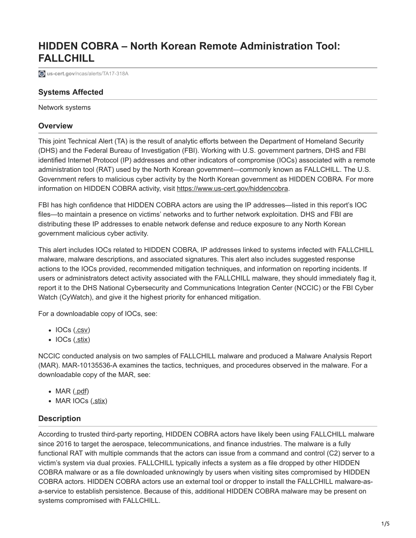# **HIDDEN COBRA – North Korean Remote Administration Tool: FALLCHILL**

**[3]** us-cert.gov[/ncas/alerts/TA17-318A](https://www.us-cert.gov/ncas/alerts/TA17-318A)

# **Systems Affected**

Network systems

### **Overview**

This joint Technical Alert (TA) is the result of analytic efforts between the Department of Homeland Security (DHS) and the Federal Bureau of Investigation (FBI). Working with U.S. government partners, DHS and FBI identified Internet Protocol (IP) addresses and other indicators of compromise (IOCs) associated with a remote administration tool (RAT) used by the North Korean government—commonly known as FALLCHILL. The U.S. Government refers to malicious cyber activity by the North Korean government as HIDDEN COBRA. For more information on HIDDEN COBRA activity, visit<https://www.us-cert.gov/hiddencobra>.

FBI has high confidence that HIDDEN COBRA actors are using the IP addresses—listed in this report's IOC files—to maintain a presence on victims' networks and to further network exploitation. DHS and FBI are distributing these IP addresses to enable network defense and reduce exposure to any North Korean government malicious cyber activity.

This alert includes IOCs related to HIDDEN COBRA, IP addresses linked to systems infected with FALLCHILL malware, malware descriptions, and associated signatures. This alert also includes suggested response actions to the IOCs provided, recommended mitigation techniques, and information on reporting incidents. If users or administrators detect activity associated with the FALLCHILL malware, they should immediately flag it, report it to the DHS National Cybersecurity and Communications Integration Center (NCCIC) or the FBI Cyber Watch (CyWatch), and give it the highest priority for enhanced mitigation.

For a downloadable copy of IOCs, see:

- $\bullet$  IOCs ( $.csv$ )
- $\bullet$  IOCs  $(\underline{.stix})$

NCCIC conducted analysis on two samples of FALLCHILL malware and produced a Malware Analysis Report (MAR). MAR-10135536-A examines the tactics, techniques, and procedures observed in the malware. For a downloadable copy of the MAR, see:

- $\bullet$  MAR  $(\underline{\cdot}pdf)$
- MAR IOCs ([.stix](https://www.us-cert.gov/sites/default/files/publications/MAR-10135536-A_WHITE_stix.xml))

# **Description**

According to trusted third-party reporting, HIDDEN COBRA actors have likely been using FALLCHILL malware since 2016 to target the aerospace, telecommunications, and finance industries. The malware is a fully functional RAT with multiple commands that the actors can issue from a command and control (C2) server to a victim's system via dual proxies. FALLCHILL typically infects a system as a file dropped by other HIDDEN COBRA malware or as a file downloaded unknowingly by users when visiting sites compromised by HIDDEN COBRA actors. HIDDEN COBRA actors use an external tool or dropper to install the FALLCHILL malware-asa-service to establish persistence. Because of this, additional HIDDEN COBRA malware may be present on systems compromised with FALLCHILL.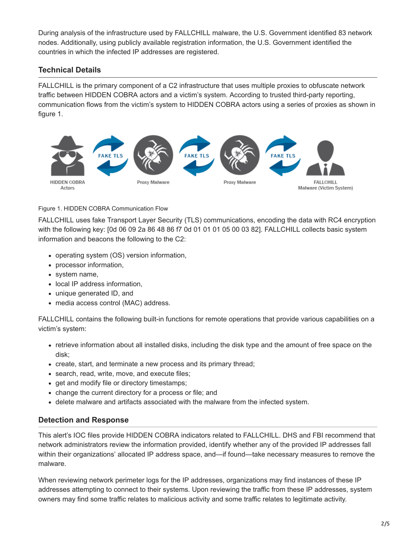During analysis of the infrastructure used by FALLCHILL malware, the U.S. Government identified 83 network nodes. Additionally, using publicly available registration information, the U.S. Government identified the countries in which the infected IP addresses are registered.

# **Technical Details**

FALLCHILL is the primary component of a C2 infrastructure that uses multiple proxies to obfuscate network traffic between HIDDEN COBRA actors and a victim's system. According to trusted third-party reporting, communication flows from the victim's system to HIDDEN COBRA actors using a series of proxies as shown in figure 1.



### Figure 1. HIDDEN COBRA Communication Flow

FALLCHILL uses fake Transport Layer Security (TLS) communications, encoding the data with RC4 encryption with the following key: [0d 06 09 2a 86 48 86 f7 0d 01 01 01 05 00 03 82]. FALLCHILL collects basic system information and beacons the following to the C2:

- operating system (OS) version information,
- processor information,
- system name,
- local IP address information,
- unique generated ID, and
- media access control (MAC) address.

FALLCHILL contains the following built-in functions for remote operations that provide various capabilities on a victim's system:

- retrieve information about all installed disks, including the disk type and the amount of free space on the disk;
- create, start, and terminate a new process and its primary thread;
- search, read, write, move, and execute files;
- get and modify file or directory timestamps;
- change the current directory for a process or file; and
- delete malware and artifacts associated with the malware from the infected system.

# **Detection and Response**

This alert's IOC files provide HIDDEN COBRA indicators related to FALLCHILL. DHS and FBI recommend that network administrators review the information provided, identify whether any of the provided IP addresses fall within their organizations' allocated IP address space, and—if found—take necessary measures to remove the malware.

When reviewing network perimeter logs for the IP addresses, organizations may find instances of these IP addresses attempting to connect to their systems. Upon reviewing the traffic from these IP addresses, system owners may find some traffic relates to malicious activity and some traffic relates to legitimate activity.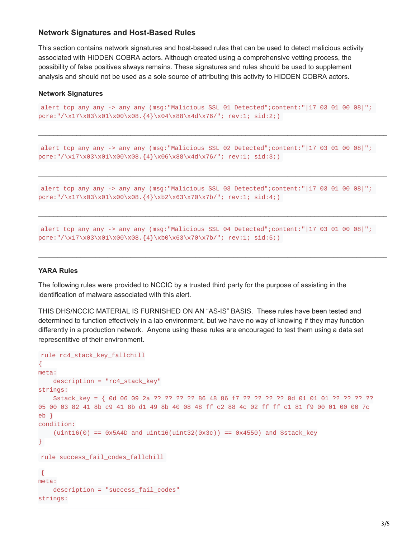### **Network Signatures and Host-Based Rules**

This section contains network signatures and host-based rules that can be used to detect malicious activity associated with HIDDEN COBRA actors. Although created using a comprehensive vetting process, the possibility of false positives always remains. These signatures and rules should be used to supplement analysis and should not be used as a sole source of attributing this activity to HIDDEN COBRA actors.

#### **Network Signatures**

```
alert tcp any any -> any any (msg:"Malicious SSL 01 Detected";content:"|17 03 01 00 08|";
pcre:"/\x17\x03\x01\x00\x08.{4}\x04\x88\x4d\x76/"; rev:1; sid:2;)
```
\_\_\_\_\_\_\_\_\_\_\_\_\_\_\_\_\_\_\_\_\_\_\_\_\_\_\_\_\_\_\_\_\_\_\_\_\_\_\_\_\_\_\_\_\_\_\_\_\_\_\_\_\_\_\_\_\_\_\_\_\_\_\_\_\_\_\_\_\_\_\_\_\_\_\_\_\_\_\_\_\_\_\_\_\_\_\_\_\_\_\_

\_\_\_\_\_\_\_\_\_\_\_\_\_\_\_\_\_\_\_\_\_\_\_\_\_\_\_\_\_\_\_\_\_\_\_\_\_\_\_\_\_\_\_\_\_\_\_\_\_\_\_\_\_\_\_\_\_\_\_\_\_\_\_\_\_\_\_\_\_\_\_\_\_\_\_\_\_\_\_\_\_\_\_\_\_\_\_\_\_\_\_

\_\_\_\_\_\_\_\_\_\_\_\_\_\_\_\_\_\_\_\_\_\_\_\_\_\_\_\_\_\_\_\_\_\_\_\_\_\_\_\_\_\_\_\_\_\_\_\_\_\_\_\_\_\_\_\_\_\_\_\_\_\_\_\_\_\_\_\_\_\_\_\_\_\_\_\_\_\_\_\_\_\_\_\_\_\_\_\_\_\_\_

 $\_$  ,  $\_$  ,  $\_$  ,  $\_$  ,  $\_$  ,  $\_$  ,  $\_$  ,  $\_$  ,  $\_$  ,  $\_$  ,  $\_$  ,  $\_$  ,  $\_$  ,  $\_$  ,  $\_$  ,  $\_$  ,  $\_$  ,  $\_$  ,  $\_$  ,  $\_$  ,  $\_$  ,  $\_$  ,  $\_$  ,  $\_$  ,  $\_$  ,  $\_$  ,  $\_$  ,  $\_$  ,  $\_$  ,  $\_$  ,  $\_$  ,  $\_$  ,  $\_$  ,  $\_$  ,  $\_$  ,  $\_$  ,  $\_$  ,

```
alert tcp any any -> any any (msg:"Malicious SSL 02 Detected";content:"|17 03 01 00 08|";
pcre:"/\x17\x03\x01\x00\x08.{4}\x06\x88\x4d\x76/"; rev:1; sid:3;)
```

```
alert tcp any any -> any any (msg:"Malicious SSL 03 Detected";content:"|17 03 01 00 08|";
pcre:"/\x17\x03\x01\x00\x08.{4}\xb2\x63\x70\x7b/"; rev:1; sid:4;)
```

```
alert tcp any any -> any any (msg:"Malicious SSL 04 Detected";content:"|17 03 01 00 08|";
pcre:"/\x17\x03\x01\x00\x08.{4}\xb0\x63\x70\x7b/"; rev:1; sid:5;)
```
#### **YARA Rules**

The following rules were provided to NCCIC by a trusted third party for the purpose of assisting in the identification of malware associated with this alert.

THIS DHS/NCCIC MATERIAL IS FURNISHED ON AN "AS-IS" BASIS. These rules have been tested and determined to function effectively in a lab environment, but we have no way of knowing if they may function differently in a production network. Anyone using these rules are encouraged to test them using a data set representitive of their environment.

```
rule rc4_stack_key_fallchill
{
meta:
    description = "rc4_stack_key"
strings:
    $stack_key = { 0d 06 09 2a ?? ?? ?? ?? 86 48 86 f7 ?? ?? ?? ?? 0d 01 01 01 ?? ?? ?? ??
05 00 03 82 41 8b c9 41 8b d1 49 8b 40 08 48 ff c2 88 4c 02 ff ff c1 81 f9 00 01 00 00 7c
eb }
condition:
    (uint16(0) == 0x5A4D and uint16(uint32(0x3c)) == 0x4550) and $stack_key
}
rule success fail codes fallchill
{
meta:
    description = "success_fail_codes"
strings:
```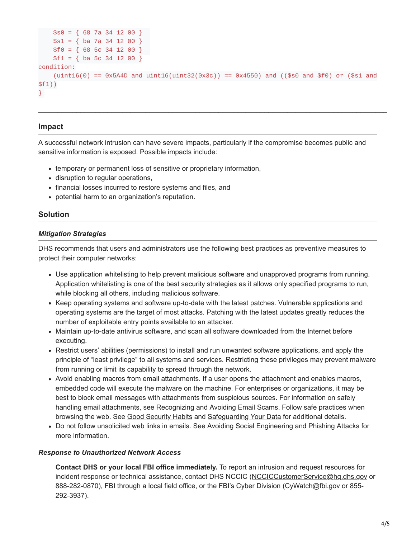```
$s0 = { 68 \ 7a \ 34 \ 12 \ 00 }$s1 = { ba 7a 34 12 00 }
    $f0 = { 68 \space 5c \space 34 \space 12 \space 00 }$f1 = { ba 5c 34 12 00 }
condition:
    (uint16(0) == 0x5A4D and uint16(uint32(0x3c)) == 0x4550) and (($s0 and $f0) or ($s1 and
$f1))
}
```
\_\_\_\_\_\_\_\_\_\_\_\_\_\_\_\_\_\_\_\_\_\_\_\_\_\_\_\_\_\_\_\_\_\_\_\_\_\_\_\_\_\_\_\_\_\_\_\_\_\_\_\_\_\_\_\_\_\_\_\_\_\_\_\_\_\_\_\_\_\_\_\_\_\_\_\_\_\_\_\_\_\_\_\_\_\_\_\_\_\_\_

### **Impact**

A successful network intrusion can have severe impacts, particularly if the compromise becomes public and sensitive information is exposed. Possible impacts include:

- temporary or permanent loss of sensitive or proprietary information,
- disruption to regular operations,
- financial losses incurred to restore systems and files, and
- potential harm to an organization's reputation.

## **Solution**

### *Mitigation Strategies*

DHS recommends that users and administrators use the following best practices as preventive measures to protect their computer networks:

- Use application whitelisting to help prevent malicious software and unapproved programs from running. Application whitelisting is one of the best security strategies as it allows only specified programs to run, while blocking all others, including malicious software.
- Keep operating systems and software up-to-date with the latest patches. Vulnerable applications and operating systems are the target of most attacks. Patching with the latest updates greatly reduces the number of exploitable entry points available to an attacker.
- Maintain up-to-date antivirus software, and scan all software downloaded from the Internet before executing.
- Restrict users' abilities (permissions) to install and run unwanted software applications, and apply the principle of "least privilege" to all systems and services. Restricting these privileges may prevent malware from running or limit its capability to spread through the network.
- Avoid enabling macros from email attachments. If a user opens the attachment and enables macros, embedded code will execute the malware on the machine. For enterprises or organizations, it may be best to block email messages with attachments from suspicious sources. For information on safely handling email attachments, see [Recognizing and Avoiding Email Scams](https://www.us-cert.gov/sites/default/files/publications/emailscams_0905.pdf). Follow safe practices when browsing the web. See [Good Security Habits](https://www.us-cert.gov/ncas/tips/ST04-003) and [Safeguarding Your Data](https://www.us-cert.gov/ncas/tips/ST06-008) for additional details.
- Do not follow unsolicited web links in emails. See [Avoiding Social Engineering and Phishing Attacks](https://www.us-cert.gov/ncas/tips/ST04-014) for more information.

### *Response to Unauthorized Network Access*

**Contact DHS or your local FBI office immediately.** To report an intrusion and request resources for incident response or technical assistance, contact DHS NCCIC ([NCCICCustomerService@hq.dhs.gov](http://10.10.0.46/mailto:NCCICCustomerService@hq.dhs.gov) or 888-282-0870), FBI through a local field office, or the FBI's Cyber Division ([CyWatch@fbi.gov](http://10.10.0.46/mailto:CyWatch@fbi.gov) or 855-292-3937).